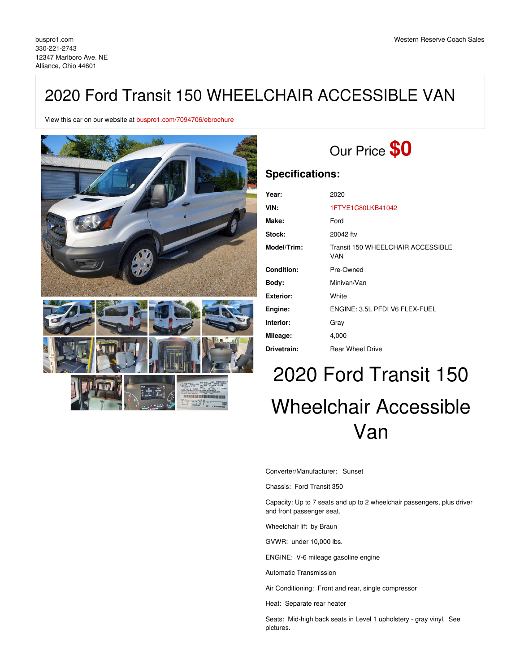# 2020 Ford Transit 150 WHEELCHAIR ACCESSIBLE VAN

View this car on our website at [buspro1.com/7094706/ebrochure](https://buspro1.com/vehicle/7094706/2020-ford-transit-150-wheelchair-accessible-van-alliance-ohio-44601/7094706/ebrochure)



# Our Price **\$0**

## **Specifications:**

| Year:             | 2020                                            |
|-------------------|-------------------------------------------------|
| VIN:              | 1FTYE1C80LKB41042                               |
| Make:             | Ford                                            |
| Stock:            | 20042 ftv                                       |
| Model/Trim:       | Transit 150 WHEELCHAIR ACCESSIBLE<br><b>VAN</b> |
| <b>Condition:</b> | Pre-Owned                                       |
| Body:             | Minivan/Van                                     |
| Exterior:         | White                                           |
| Engine:           | ENGINE: 3.5L PFDI V6 FLEX-FUEL                  |
| Interior:         | Gray                                            |
| Mileage:          | 4,000                                           |
| Drivetrain:       | <b>Rear Wheel Drive</b>                         |

# 2020 Ford Transit 150 Wheelchair Accessible Van

Converter/Manufacturer: Sunset

Chassis: Ford Transit 350

Capacity: Up to 7 seats and up to 2 wheelchair passengers, plus driver and front passenger seat.

Wheelchair lift by Braun

GVWR: under 10,000 lbs.

ENGINE: V-6 mileage gasoline engine

Automatic Transmission

Air Conditioning: Front and rear, single compressor

Heat: Separate rear heater

Seats: Mid-high back seats in Level 1 upholstery - gray vinyl. See pictures.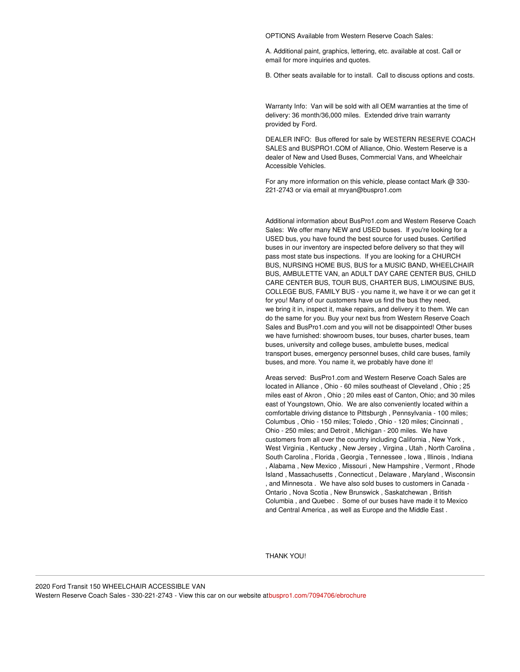OPTIONS Available from Western Reserve Coach Sales:

A. Additional paint, graphics, lettering, etc. available at cost. Call or email for more inquiries and quotes.

B. Other seats available for to install. Call to discuss options and costs.

Warranty Info: Van will be sold with all OEM warranties at the time of delivery: 36 month/36,000 miles. Extended drive train warranty provided by Ford.

DEALER INFO: Bus offered for sale by WESTERN RESERVE COACH SALES and BUSPRO1.COM of Alliance, Ohio. Western Reserve is a dealer of New and Used Buses, Commercial Vans, and Wheelchair Accessible Vehicles.

For any more information on this vehicle, please contact Mark @ 330- 221-2743 or via email at mryan@buspro1.com

Additional information about BusPro1.com and Western Reserve Coach Sales: We offer many NEW and USED buses. If you're looking for a USED bus, you have found the best source for used buses. Certified buses in our inventory are inspected before delivery so that they will pass most state bus inspections. If you are looking for a CHURCH BUS, NURSING HOME BUS, BUS for a MUSIC BAND, WHEELCHAIR BUS, AMBULETTE VAN, an ADULT DAY CARE CENTER BUS, CHILD CARE CENTER BUS, TOUR BUS, CHARTER BUS, LIMOUSINE BUS, COLLEGE BUS, FAMILY BUS - you name it, we have it or we can get it for you! Many of our customers have us find the bus they need, we bring it in, inspect it, make repairs, and delivery it to them. We can do the same for you. Buy your next bus from Western Reserve Coach Sales and BusPro1.com and you will not be disappointed! Other buses we have furnished: showroom buses, tour buses, charter buses, team buses, university and college buses, ambulette buses, medical transport buses, emergency personnel buses, child care buses, family buses, and more. You name it, we probably have done it!

Areas served: BusPro1.com and Western Reserve Coach Sales are located in Alliance , Ohio - 60 miles southeast of Cleveland , Ohio ; 25 miles east of Akron , Ohio ; 20 miles east of Canton, Ohio; and 30 miles east of Youngstown, Ohio. We are also conveniently located within a comfortable driving distance to Pittsburgh , Pennsylvania - 100 miles; Columbus , Ohio - 150 miles; Toledo , Ohio - 120 miles; Cincinnati , Ohio - 250 miles; and Detroit , Michigan - 200 miles. We have customers from all over the country including California , New York , West Virginia , Kentucky , New Jersey , Virgina , Utah , North Carolina , South Carolina , Florida , Georgia , Tennessee , Iowa , Illinois , Indiana , Alabama , New Mexico , Missouri , New Hampshire , Vermont , Rhode Island , Massachusetts , Connecticut , Delaware , Maryland , Wisconsin , and Minnesota . We have also sold buses to customers in Canada - Ontario , Nova Scotia , New Brunswick , Saskatchewan , British Columbia , and Quebec . Some of our buses have made it to Mexico and Central America , as well as Europe and the Middle East .

THANK YOU!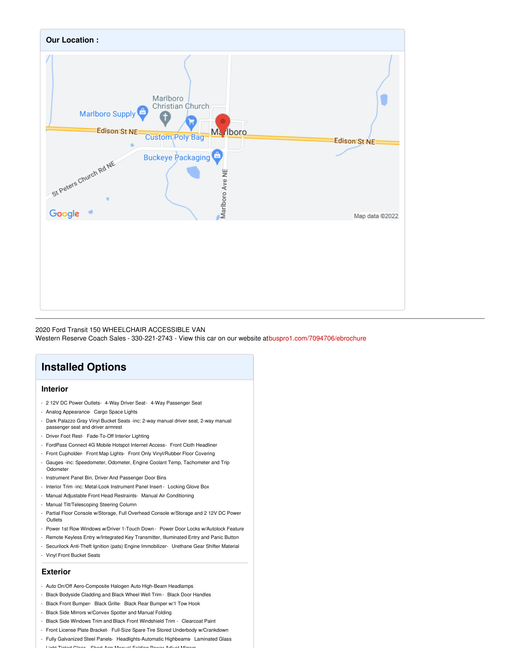

#### 2020 Ford Transit 150 WHEELCHAIR ACCESSIBLE VAN

Western Reserve Coach Sales - 330-221-2743 - View this car on our website a[tbuspro1.com/7094706/ebrochure](https://buspro1.com/vehicle/7094706/2020-ford-transit-150-wheelchair-accessible-van-alliance-ohio-44601/7094706/ebrochure)

## **Installed Options**

#### **Interior**

- 2 12V DC Power Outlets- 4-Way Driver Seat- 4-Way Passenger Seat
- Analog Appearance- Cargo Space Lights
- Dark Palazzo Gray Vinyl Bucket Seats -inc: 2-way manual driver seat, 2-way manual passenger seat and driver armrest
- Driver Foot Rest- Fade-To-Off Interior Lighting
- FordPass Connect 4G Mobile Hotspot Internet Access- Front Cloth Headliner
- Front Cupholder- Front Map Lights- Front Only Vinyl/Rubber Floor Covering
- Gauges -inc: Speedometer, Odometer, Engine Coolant Temp, Tachometer and Trip Odometer
- Instrument Panel Bin, Driver And Passenger Door Bins
- Interior Trim -inc: Metal-Look Instrument Panel Insert Locking Glove Box
- Manual Adjustable Front Head Restraints- Manual Air Conditioning
- Manual Tilt/Telescoping Steering Column
- Partial Floor Console w/Storage, Full Overhead Console w/Storage and 2 12V DC Power **Outlets**
- Power 1st Row Windows w/Driver 1-Touch Down Power Door Locks w/Autolock Feature
- Remote Keyless Entry w/Integrated Key Transmitter, Illuminated Entry and Panic Button
- Securilock Anti-Theft Ignition (pats) Engine Immobilizer- Urethane Gear Shifter Material
- Vinyl Front Bucket Seats

#### **Exterior**

- Auto On/Off Aero-Composite Halogen Auto High-Beam Headlamps
- Black Bodyside Cladding and Black Wheel Well Trim Black Door Handles
- Black Front Bumper- Black Grille- Black Rear Bumper w/1 Tow Hook
- Black Side Mirrors w/Convex Spotter and Manual Folding
- Black Side Windows Trim and Black Front Windshield Trim Clearcoat Paint
- Front License Plate Bracket- Full-Size Spare Tire Stored Underbody w/Crankdown
- Fully Galvanized Steel Panels- Headlights-Automatic Highbeams- Laminated Glass
- Light Tinted Glass- Short-Arm Manual-Folding Power Adjust Mirrors